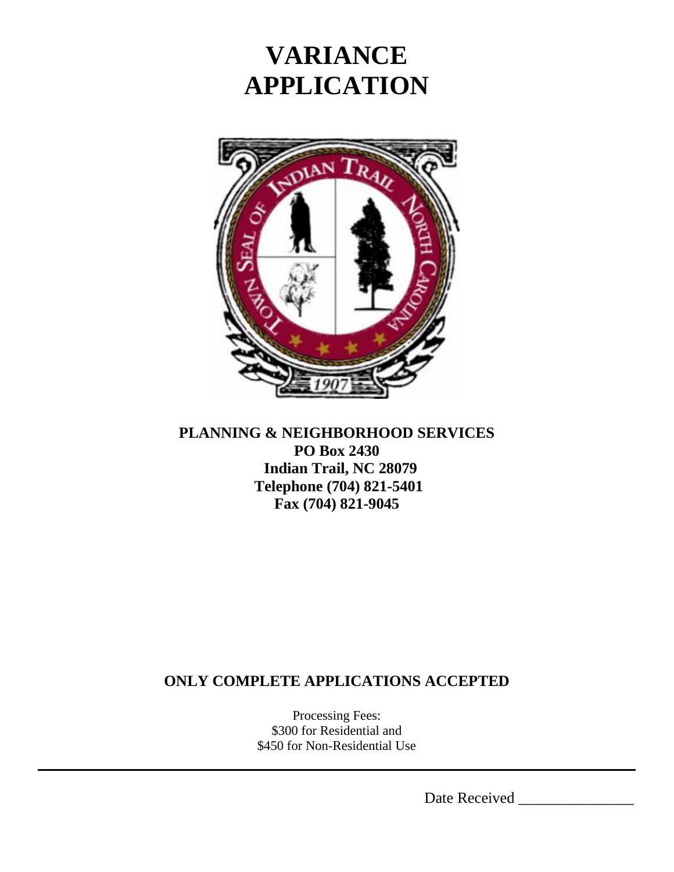

#### **PLANNING & NEIGHBORHOOD SERVICES PO Box 2430 Indian Trail, NC 28079 Telephone (704) 821-5401 Fax (704) 821-9045**

### **ONLY COMPLETE APPLICATIONS ACCEPTED**

Processing Fees: \$300 for Residential and \$450 for Non-Residential Use

Date Received \_\_\_\_\_\_\_\_\_\_\_\_\_\_\_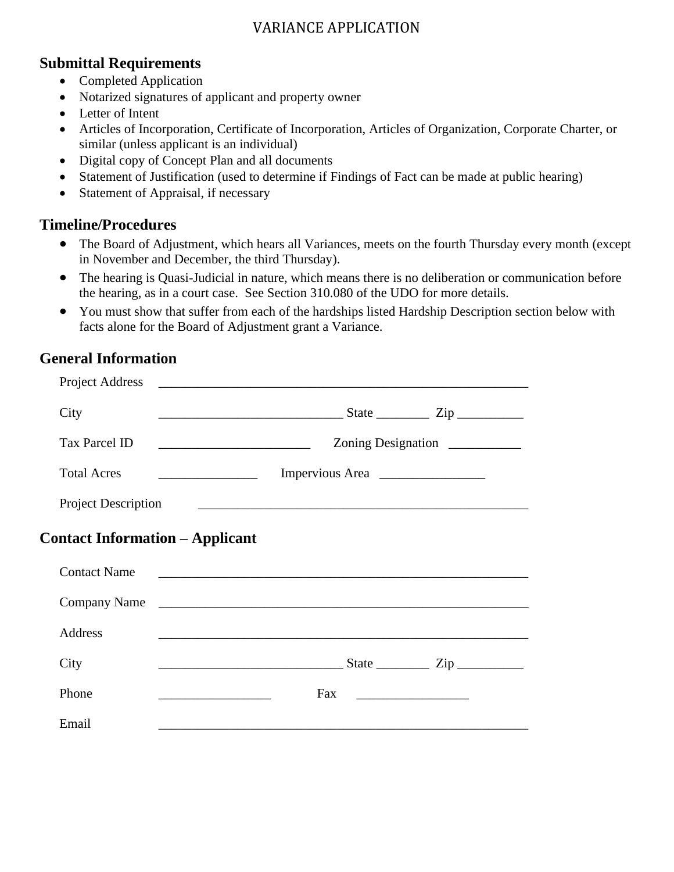#### **Submittal Requirements**

- Completed Application
- Notarized signatures of applicant and property owner
- Letter of Intent
- Articles of Incorporation, Certificate of Incorporation, Articles of Organization, Corporate Charter, or similar (unless applicant is an individual)
- Digital copy of Concept Plan and all documents
- Statement of Justification (used to determine if Findings of Fact can be made at public hearing)
- Statement of Appraisal, if necessary

#### **Timeline/Procedures**

- The Board of Adjustment, which hears all Variances, meets on the fourth Thursday every month (except in November and December, the third Thursday).
- The hearing is Quasi-Judicial in nature, which means there is no deliberation or communication before the hearing, as in a court case. See Section 310.080 of the UDO for more details.
- You must show that suffer from each of the hardships listed Hardship Description section below with facts alone for the Board of Adjustment grant a Variance.

#### **General Information**

| Project Address                        |                                                                                                                                             |
|----------------------------------------|---------------------------------------------------------------------------------------------------------------------------------------------|
| City                                   |                                                                                                                                             |
| <b>Tax Parcel ID</b>                   | Zoning Designation<br><u> 1989 - Johann Barn, mars ann an t-Amhair ann an t-Amhair an t-Amhair ann an t-Amhair an t-Amhair ann an t-Amh</u> |
| <b>Total Acres</b>                     | Impervious Area                                                                                                                             |
| <b>Project Description</b>             | <u> 1980 - Johann Barnett, fransk politiker (d. 1980)</u>                                                                                   |
| <b>Contact Information – Applicant</b> |                                                                                                                                             |
| <b>Contact Name</b>                    | <u> 2000 - Jan James James Barnett, amerikansk politik (d. 1888)</u>                                                                        |
|                                        | Company Name                                                                                                                                |
| <b>Address</b>                         | and the control of the control of the control of the control of the control of the control of the control of the                            |
| City                                   | $\frac{1}{\text{State}}$ $\frac{1}{\text{Zip}}$                                                                                             |
| Phone                                  | Fax                                                                                                                                         |
| Email                                  |                                                                                                                                             |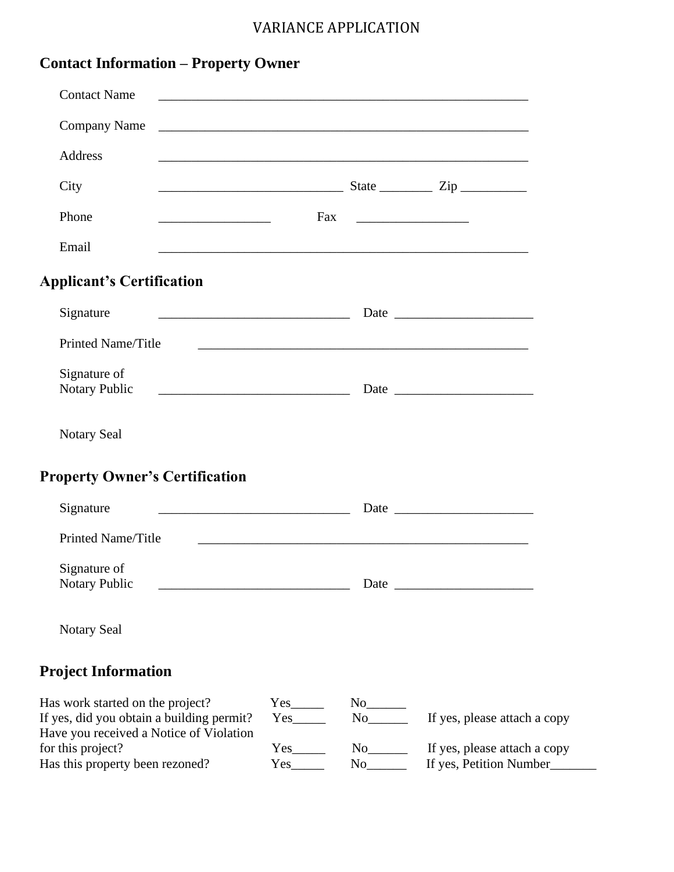| <b>Contact Information – Property Owner</b> |  |  |
|---------------------------------------------|--|--|
|---------------------------------------------|--|--|

| <b>Contact Name</b>                                                                                                           |                                                         |                                                       |                                                         |
|-------------------------------------------------------------------------------------------------------------------------------|---------------------------------------------------------|-------------------------------------------------------|---------------------------------------------------------|
| <b>Company Name</b>                                                                                                           |                                                         |                                                       |                                                         |
| Address                                                                                                                       |                                                         |                                                       |                                                         |
| City                                                                                                                          |                                                         |                                                       | <u>State Zip</u> Zip                                    |
| Phone                                                                                                                         |                                                         |                                                       |                                                         |
| Email<br><u> 1980 - Jan James James James James James James James James James James James James James James James James J</u> |                                                         |                                                       |                                                         |
| <b>Applicant's Certification</b>                                                                                              |                                                         |                                                       |                                                         |
| Signature                                                                                                                     |                                                         |                                                       |                                                         |
| Printed Name/Title                                                                                                            |                                                         |                                                       |                                                         |
| Signature of<br><u> 1980 - Jan Barnett, fransk politik (f. 1980)</u><br>Notary Public                                         |                                                         |                                                       |                                                         |
| <b>Notary Seal</b>                                                                                                            |                                                         |                                                       |                                                         |
| <b>Property Owner's Certification</b>                                                                                         |                                                         |                                                       |                                                         |
| Signature                                                                                                                     |                                                         |                                                       |                                                         |
| Printed Name/Title                                                                                                            |                                                         |                                                       |                                                         |
| Signature of<br><b>Notary Public</b>                                                                                          |                                                         |                                                       |                                                         |
| <b>Notary Seal</b>                                                                                                            |                                                         |                                                       |                                                         |
| <b>Project Information</b>                                                                                                    |                                                         |                                                       |                                                         |
| Has work started on the project?<br>If yes, did you obtain a building permit?<br>Have you received a Notice of Violation      | $Yes$ <sub>_________</sub><br>$Yes$ <sub>________</sub> | $No$ <sub>________</sub>                              | If yes, please attach a copy                            |
| for this project?<br>Has this property been rezoned?                                                                          | $Yes$ <sub>_______</sub><br>$Yes$ <sub>_______</sub>    | $No$ <sub>________</sub><br>$No$ <sub>_________</sub> | If yes, please attach a copy<br>If yes, Petition Number |